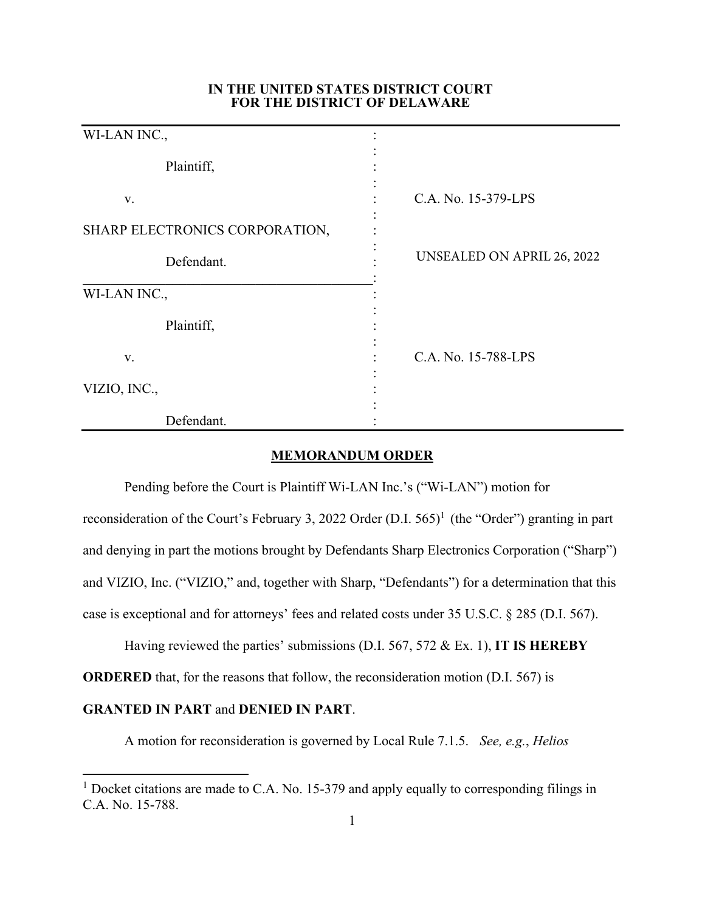## **IN THE UNITED STATES DISTRICT COURT FOR THE DISTRICT OF DELAWARE**

| WI-LAN INC.,                   |                            |
|--------------------------------|----------------------------|
| Plaintiff,                     |                            |
| V.                             | C.A. No. 15-379-LPS        |
| SHARP ELECTRONICS CORPORATION, |                            |
| Defendant.                     | UNSEALED ON APRIL 26, 2022 |
| WI-LAN INC.,                   |                            |
| Plaintiff,                     |                            |
| V.                             | C.A. No. 15-788-LPS        |
| VIZIO, INC.,                   |                            |
| Defendant.                     |                            |

## **MEMORANDUM ORDER**

Pending before the Court is Plaintiff Wi-LAN Inc.'s ("Wi-LAN") motion for reconsideration of the Court's February 3, 2022 Order  $(D.I. 565)^1$  (the "Order") granting in part and denying in part the motions brought by Defendants Sharp Electronics Corporation ("Sharp") and VIZIO, Inc. ("VIZIO," and, together with Sharp, "Defendants") for a determination that this case is exceptional and for attorneys' fees and related costs under 35 U.S.C. § 285 (D.I. 567).

Having reviewed the parties' submissions (D.I. 567, 572 & Ex. 1), **IT IS HEREBY** 

**ORDERED** that, for the reasons that follow, the reconsideration motion (D.I. 567) is

## **GRANTED IN PART** and **DENIED IN PART**.

A motion for reconsideration is governed by Local Rule 7.1.5. *See, e.g.*, *Helios* 

<sup>&</sup>lt;sup>1</sup> Docket citations are made to C.A. No. 15-379 and apply equally to corresponding filings in C.A. No. 15-788.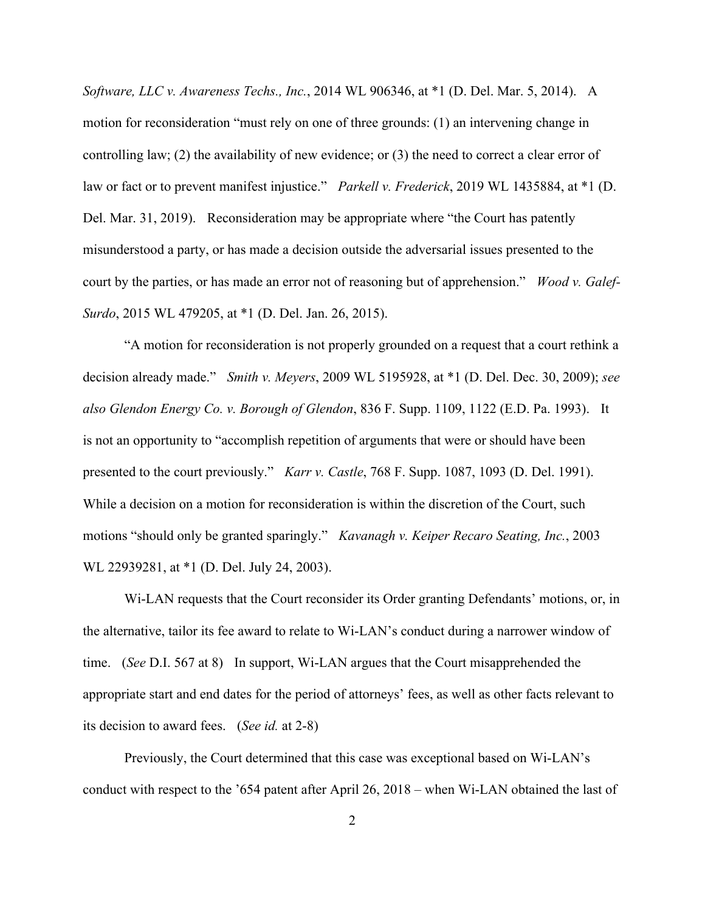*Software, LLC v. Awareness Techs., Inc.*, 2014 WL 906346, at \*1 (D. Del. Mar. 5, 2014). A motion for reconsideration "must rely on one of three grounds: (1) an intervening change in controlling law; (2) the availability of new evidence; or (3) the need to correct a clear error of law or fact or to prevent manifest injustice." *Parkell v. Frederick*, 2019 WL 1435884, at \*1 (D. Del. Mar. 31, 2019). Reconsideration may be appropriate where "the Court has patently misunderstood a party, or has made a decision outside the adversarial issues presented to the court by the parties, or has made an error not of reasoning but of apprehension." *Wood v. Galef-Surdo*, 2015 WL 479205, at \*1 (D. Del. Jan. 26, 2015).

"A motion for reconsideration is not properly grounded on a request that a court rethink a decision already made." *Smith v. Meyers*, 2009 WL 5195928, at \*1 (D. Del. Dec. 30, 2009); *see also Glendon Energy Co. v. Borough of Glendon*, 836 F. Supp. 1109, 1122 (E.D. Pa. 1993). It is not an opportunity to "accomplish repetition of arguments that were or should have been presented to the court previously." *Karr v. Castle*, 768 F. Supp. 1087, 1093 (D. Del. 1991). While a decision on a motion for reconsideration is within the discretion of the Court, such motions "should only be granted sparingly." *Kavanagh v. Keiper Recaro Seating, Inc.*, 2003 WL 22939281, at \*1 (D. Del. July 24, 2003).

Wi-LAN requests that the Court reconsider its Order granting Defendants' motions, or, in the alternative, tailor its fee award to relate to Wi-LAN's conduct during a narrower window of time. (*See* D.I. 567 at 8) In support, Wi-LAN argues that the Court misapprehended the appropriate start and end dates for the period of attorneys' fees, as well as other facts relevant to its decision to award fees. (*See id.* at 2-8)

Previously, the Court determined that this case was exceptional based on Wi-LAN's conduct with respect to the '654 patent after April 26, 2018 – when Wi-LAN obtained the last of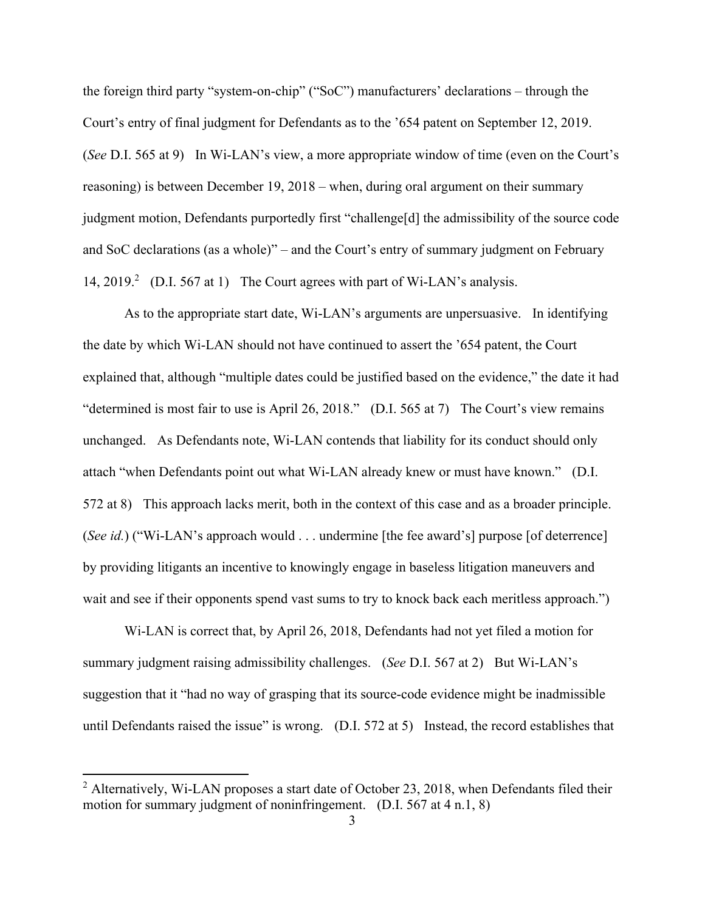the foreign third party "system-on-chip" ("SoC") manufacturers' declarations – through the Court's entry of final judgment for Defendants as to the '654 patent on September 12, 2019. (*See* D.I. 565 at 9) In Wi-LAN's view, a more appropriate window of time (even on the Court's reasoning) is between December 19, 2018 – when, during oral argument on their summary judgment motion, Defendants purportedly first "challenge[d] the admissibility of the source code and SoC declarations (as a whole)" – and the Court's entry of summary judgment on February 14, 2019.<sup>2</sup> (D.I. 567 at 1) The Court agrees with part of Wi-LAN's analysis.

As to the appropriate start date, Wi-LAN's arguments are unpersuasive. In identifying the date by which Wi-LAN should not have continued to assert the '654 patent, the Court explained that, although "multiple dates could be justified based on the evidence," the date it had "determined is most fair to use is April 26, 2018." (D.I. 565 at 7) The Court's view remains unchanged. As Defendants note, Wi-LAN contends that liability for its conduct should only attach "when Defendants point out what Wi-LAN already knew or must have known." (D.I. 572 at 8) This approach lacks merit, both in the context of this case and as a broader principle. (*See id.*) ("Wi-LAN's approach would . . . undermine [the fee award's] purpose [of deterrence] by providing litigants an incentive to knowingly engage in baseless litigation maneuvers and wait and see if their opponents spend vast sums to try to knock back each meritless approach.")

Wi-LAN is correct that, by April 26, 2018, Defendants had not yet filed a motion for summary judgment raising admissibility challenges. (*See* D.I. 567 at 2) But Wi-LAN's suggestion that it "had no way of grasping that its source-code evidence might be inadmissible until Defendants raised the issue" is wrong. (D.I. 572 at 5) Instead, the record establishes that

 $<sup>2</sup>$  Alternatively, Wi-LAN proposes a start date of October 23, 2018, when Defendants filed their</sup> motion for summary judgment of noninfringement. (D.I. 567 at 4 n.1, 8)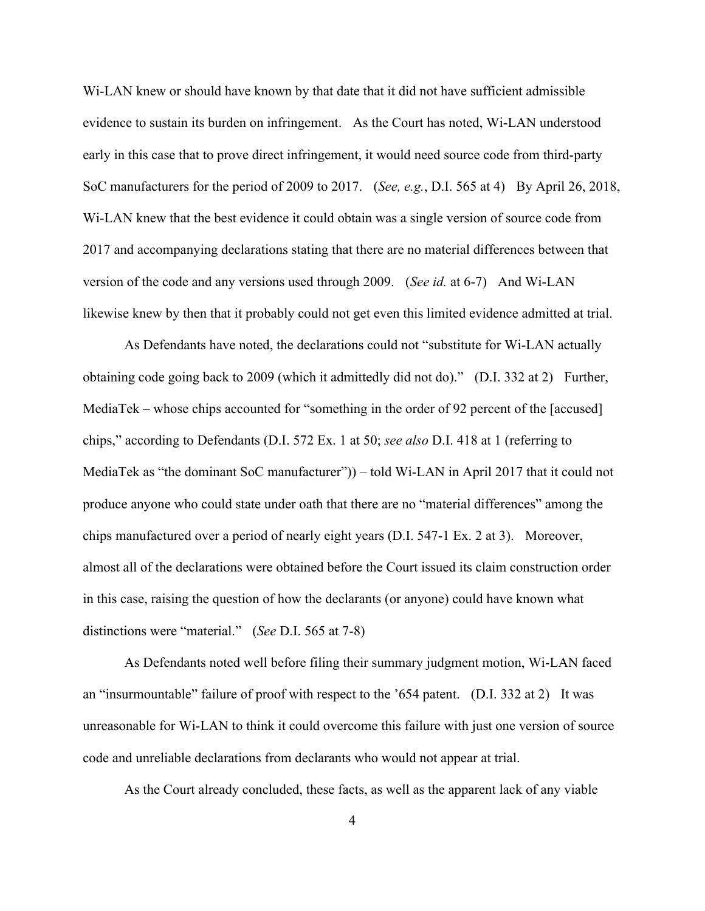Wi-LAN knew or should have known by that date that it did not have sufficient admissible evidence to sustain its burden on infringement. As the Court has noted, Wi-LAN understood early in this case that to prove direct infringement, it would need source code from third-party SoC manufacturers for the period of 2009 to 2017. (*See, e.g.*, D.I. 565 at 4) By April 26, 2018, Wi-LAN knew that the best evidence it could obtain was a single version of source code from 2017 and accompanying declarations stating that there are no material differences between that version of the code and any versions used through 2009. (*See id.* at 6-7) And Wi-LAN likewise knew by then that it probably could not get even this limited evidence admitted at trial.

As Defendants have noted, the declarations could not "substitute for Wi-LAN actually obtaining code going back to 2009 (which it admittedly did not do)." (D.I. 332 at 2) Further, MediaTek – whose chips accounted for "something in the order of 92 percent of the [accused] chips," according to Defendants (D.I. 572 Ex. 1 at 50; *see also* D.I. 418 at 1 (referring to MediaTek as "the dominant SoC manufacturer")) – told Wi-LAN in April 2017 that it could not produce anyone who could state under oath that there are no "material differences" among the chips manufactured over a period of nearly eight years (D.I. 547-1 Ex. 2 at 3). Moreover, almost all of the declarations were obtained before the Court issued its claim construction order in this case, raising the question of how the declarants (or anyone) could have known what distinctions were "material." (*See* D.I. 565 at 7-8)

As Defendants noted well before filing their summary judgment motion, Wi-LAN faced an "insurmountable" failure of proof with respect to the '654 patent. (D.I. 332 at 2) It was unreasonable for Wi-LAN to think it could overcome this failure with just one version of source code and unreliable declarations from declarants who would not appear at trial.

As the Court already concluded, these facts, as well as the apparent lack of any viable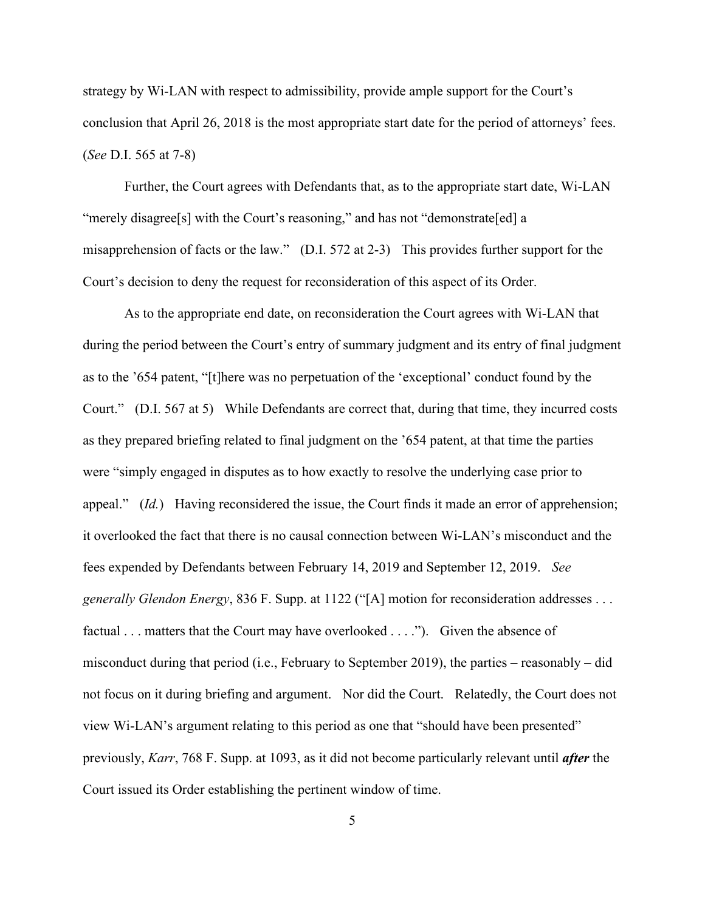strategy by Wi-LAN with respect to admissibility, provide ample support for the Court's conclusion that April 26, 2018 is the most appropriate start date for the period of attorneys' fees. (*See* D.I. 565 at 7-8)

Further, the Court agrees with Defendants that, as to the appropriate start date, Wi-LAN "merely disagree[s] with the Court's reasoning," and has not "demonstrate[ed] a misapprehension of facts or the law." (D.I. 572 at 2-3) This provides further support for the Court's decision to deny the request for reconsideration of this aspect of its Order.

As to the appropriate end date, on reconsideration the Court agrees with Wi-LAN that during the period between the Court's entry of summary judgment and its entry of final judgment as to the '654 patent, "[t]here was no perpetuation of the 'exceptional' conduct found by the Court." (D.I. 567 at 5) While Defendants are correct that, during that time, they incurred costs as they prepared briefing related to final judgment on the '654 patent, at that time the parties were "simply engaged in disputes as to how exactly to resolve the underlying case prior to appeal." (*Id.*) Having reconsidered the issue, the Court finds it made an error of apprehension; it overlooked the fact that there is no causal connection between Wi-LAN's misconduct and the fees expended by Defendants between February 14, 2019 and September 12, 2019. *See generally Glendon Energy*, 836 F. Supp. at 1122 ("[A] motion for reconsideration addresses . . . factual . . . matters that the Court may have overlooked . . . ."). Given the absence of misconduct during that period (i.e., February to September 2019), the parties – reasonably – did not focus on it during briefing and argument. Nor did the Court. Relatedly, the Court does not view Wi-LAN's argument relating to this period as one that "should have been presented" previously, *Karr*, 768 F. Supp. at 1093, as it did not become particularly relevant until *after* the Court issued its Order establishing the pertinent window of time.

5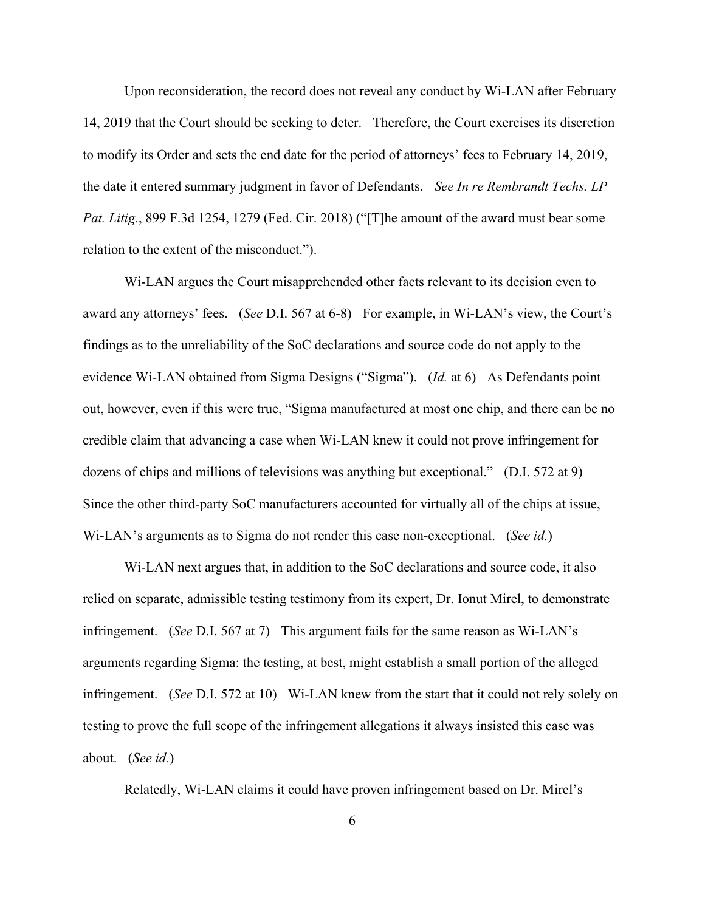Upon reconsideration, the record does not reveal any conduct by Wi-LAN after February 14, 2019 that the Court should be seeking to deter. Therefore, the Court exercises its discretion to modify its Order and sets the end date for the period of attorneys' fees to February 14, 2019, the date it entered summary judgment in favor of Defendants. *See In re Rembrandt Techs. LP Pat. Litig.*, 899 F.3d 1254, 1279 (Fed. Cir. 2018) ("[T]he amount of the award must bear some relation to the extent of the misconduct.").

Wi-LAN argues the Court misapprehended other facts relevant to its decision even to award any attorneys' fees. (*See* D.I. 567 at 6-8) For example, in Wi-LAN's view, the Court's findings as to the unreliability of the SoC declarations and source code do not apply to the evidence Wi-LAN obtained from Sigma Designs ("Sigma"). (*Id.* at 6) As Defendants point out, however, even if this were true, "Sigma manufactured at most one chip, and there can be no credible claim that advancing a case when Wi-LAN knew it could not prove infringement for dozens of chips and millions of televisions was anything but exceptional." (D.I. 572 at 9) Since the other third-party SoC manufacturers accounted for virtually all of the chips at issue, Wi-LAN's arguments as to Sigma do not render this case non-exceptional. (*See id.*)

Wi-LAN next argues that, in addition to the SoC declarations and source code, it also relied on separate, admissible testing testimony from its expert, Dr. Ionut Mirel, to demonstrate infringement. (*See* D.I. 567 at 7) This argument fails for the same reason as Wi-LAN's arguments regarding Sigma: the testing, at best, might establish a small portion of the alleged infringement. (*See* D.I. 572 at 10) Wi-LAN knew from the start that it could not rely solely on testing to prove the full scope of the infringement allegations it always insisted this case was about. (*See id.*)

Relatedly, Wi-LAN claims it could have proven infringement based on Dr. Mirel's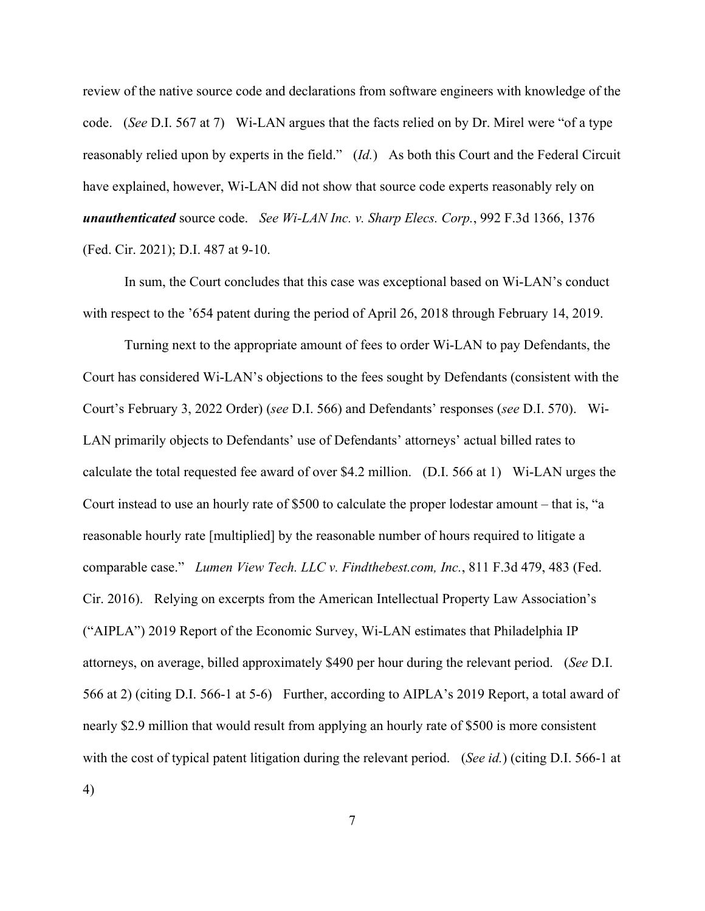review of the native source code and declarations from software engineers with knowledge of the code. (*See* D.I. 567 at 7) Wi-LAN argues that the facts relied on by Dr. Mirel were "of a type reasonably relied upon by experts in the field." (*Id.*) As both this Court and the Federal Circuit have explained, however, Wi-LAN did not show that source code experts reasonably rely on *unauthenticated* source code. *See Wi-LAN Inc. v. Sharp Elecs. Corp.*, 992 F.3d 1366, 1376 (Fed. Cir. 2021); D.I. 487 at 9-10.

In sum, the Court concludes that this case was exceptional based on Wi-LAN's conduct with respect to the '654 patent during the period of April 26, 2018 through February 14, 2019.

Turning next to the appropriate amount of fees to order Wi-LAN to pay Defendants, the Court has considered Wi-LAN's objections to the fees sought by Defendants (consistent with the Court's February 3, 2022 Order) (*see* D.I. 566) and Defendants' responses (*see* D.I. 570). Wi-LAN primarily objects to Defendants' use of Defendants' attorneys' actual billed rates to calculate the total requested fee award of over \$4.2 million. (D.I. 566 at 1) Wi-LAN urges the Court instead to use an hourly rate of \$500 to calculate the proper lodestar amount – that is, "a reasonable hourly rate [multiplied] by the reasonable number of hours required to litigate a comparable case." *Lumen View Tech. LLC v. Findthebest.com, Inc.*, 811 F.3d 479, 483 (Fed. Cir. 2016). Relying on excerpts from the American Intellectual Property Law Association's ("AIPLA") 2019 Report of the Economic Survey, Wi-LAN estimates that Philadelphia IP attorneys, on average, billed approximately \$490 per hour during the relevant period. (*See* D.I. 566 at 2) (citing D.I. 566-1 at 5-6) Further, according to AIPLA's 2019 Report, a total award of nearly \$2.9 million that would result from applying an hourly rate of \$500 is more consistent with the cost of typical patent litigation during the relevant period. (*See id.*) (citing D.I. 566-1 at 4)

7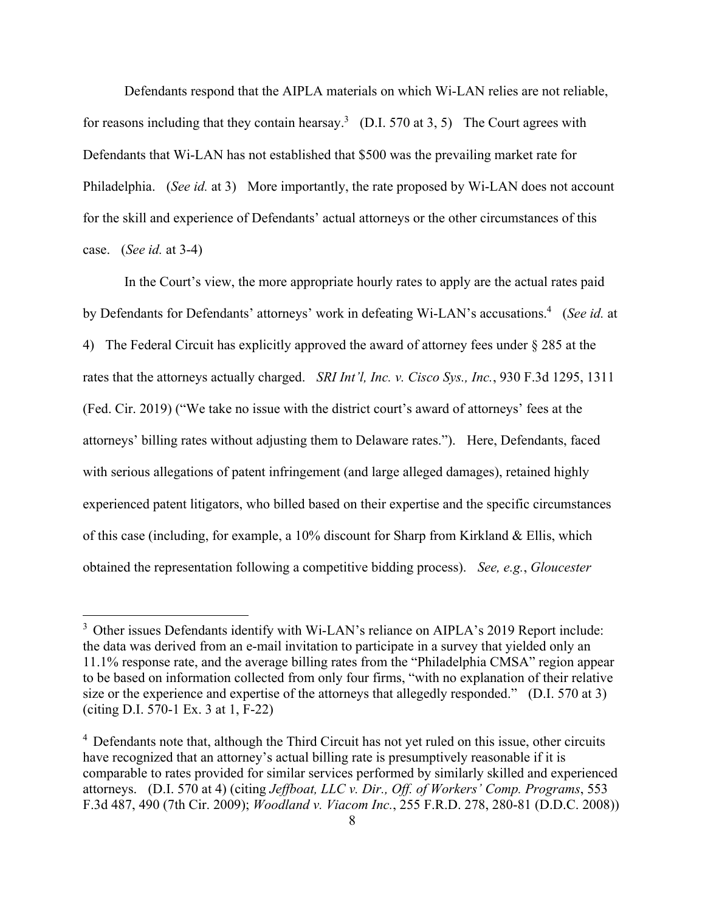Defendants respond that the AIPLA materials on which Wi-LAN relies are not reliable, for reasons including that they contain hearsay.<sup>3</sup> (D.I. 570 at 3, 5) The Court agrees with Defendants that Wi-LAN has not established that \$500 was the prevailing market rate for Philadelphia. (*See id.* at 3) More importantly, the rate proposed by Wi-LAN does not account for the skill and experience of Defendants' actual attorneys or the other circumstances of this case. (*See id.* at 3-4)

In the Court's view, the more appropriate hourly rates to apply are the actual rates paid by Defendants for Defendants' attorneys' work in defeating Wi-LAN's accusations.<sup>4</sup> (See id. at 4) The Federal Circuit has explicitly approved the award of attorney fees under § 285 at the rates that the attorneys actually charged. *SRI Int'l, Inc. v. Cisco Sys., Inc.*, 930 F.3d 1295, 1311 (Fed. Cir. 2019) ("We take no issue with the district court's award of attorneys' fees at the attorneys' billing rates without adjusting them to Delaware rates."). Here, Defendants, faced with serious allegations of patent infringement (and large alleged damages), retained highly experienced patent litigators, who billed based on their expertise and the specific circumstances of this case (including, for example, a 10% discount for Sharp from Kirkland & Ellis, which obtained the representation following a competitive bidding process). *See, e.g.*, *Gloucester* 

<sup>&</sup>lt;sup>3</sup> Other issues Defendants identify with Wi-LAN's reliance on AIPLA's 2019 Report include: the data was derived from an e-mail invitation to participate in a survey that yielded only an 11.1% response rate, and the average billing rates from the "Philadelphia CMSA" region appear to be based on information collected from only four firms, "with no explanation of their relative size or the experience and expertise of the attorneys that allegedly responded." (D.I. 570 at 3) (citing D.I. 570-1 Ex. 3 at 1, F-22)

<sup>&</sup>lt;sup>4</sup> Defendants note that, although the Third Circuit has not yet ruled on this issue, other circuits have recognized that an attorney's actual billing rate is presumptively reasonable if it is comparable to rates provided for similar services performed by similarly skilled and experienced attorneys. (D.I. 570 at 4) (citing *Jeffboat, LLC v. Dir., Off. of Workers' Comp. Programs*, 553 F.3d 487, 490 (7th Cir. 2009); *Woodland v. Viacom Inc.*, 255 F.R.D. 278, 280-81 (D.D.C. 2008))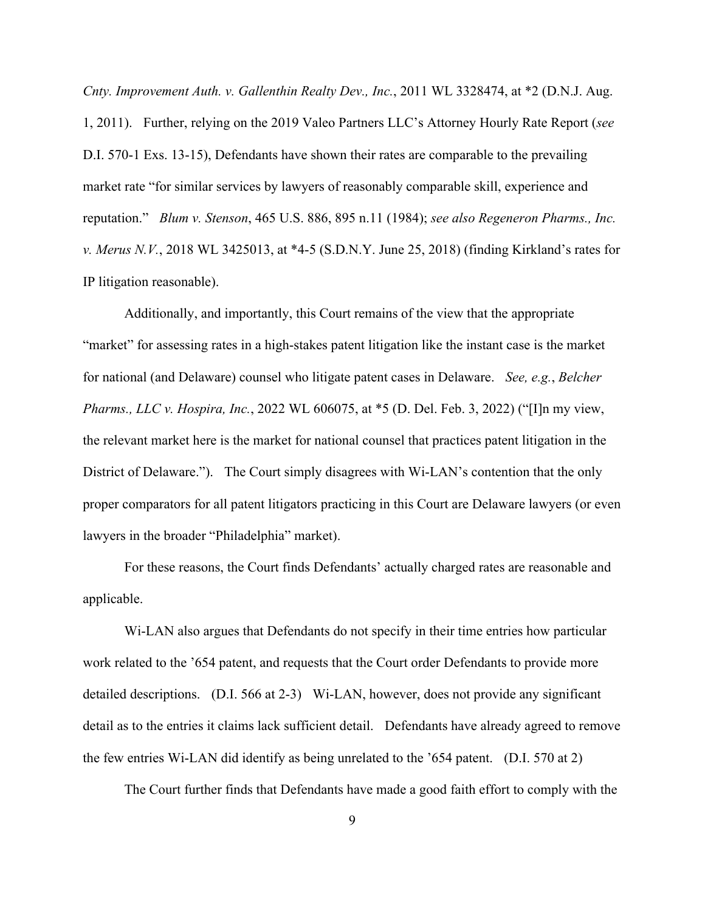*Cnty. Improvement Auth. v. Gallenthin Realty Dev., Inc.*, 2011 WL 3328474, at \*2 (D.N.J. Aug. 1, 2011). Further, relying on the 2019 Valeo Partners LLC's Attorney Hourly Rate Report (*see*  D.I. 570-1 Exs. 13-15), Defendants have shown their rates are comparable to the prevailing market rate "for similar services by lawyers of reasonably comparable skill, experience and reputation." *Blum v. Stenson*, 465 U.S. 886, 895 n.11 (1984); *see also Regeneron Pharms., Inc. v. Merus N.V.*, 2018 WL 3425013, at \*4-5 (S.D.N.Y. June 25, 2018) (finding Kirkland's rates for IP litigation reasonable).

Additionally, and importantly, this Court remains of the view that the appropriate "market" for assessing rates in a high-stakes patent litigation like the instant case is the market for national (and Delaware) counsel who litigate patent cases in Delaware. *See, e.g.*, *Belcher Pharms., LLC v. Hospira, Inc.*, 2022 WL 606075, at \*5 (D. Del. Feb. 3, 2022) ("[I]n my view, the relevant market here is the market for national counsel that practices patent litigation in the District of Delaware."). The Court simply disagrees with Wi-LAN's contention that the only proper comparators for all patent litigators practicing in this Court are Delaware lawyers (or even lawyers in the broader "Philadelphia" market).

For these reasons, the Court finds Defendants' actually charged rates are reasonable and applicable.

Wi-LAN also argues that Defendants do not specify in their time entries how particular work related to the '654 patent, and requests that the Court order Defendants to provide more detailed descriptions. (D.I. 566 at 2-3) Wi-LAN, however, does not provide any significant detail as to the entries it claims lack sufficient detail. Defendants have already agreed to remove the few entries Wi-LAN did identify as being unrelated to the '654 patent. (D.I. 570 at 2)

The Court further finds that Defendants have made a good faith effort to comply with the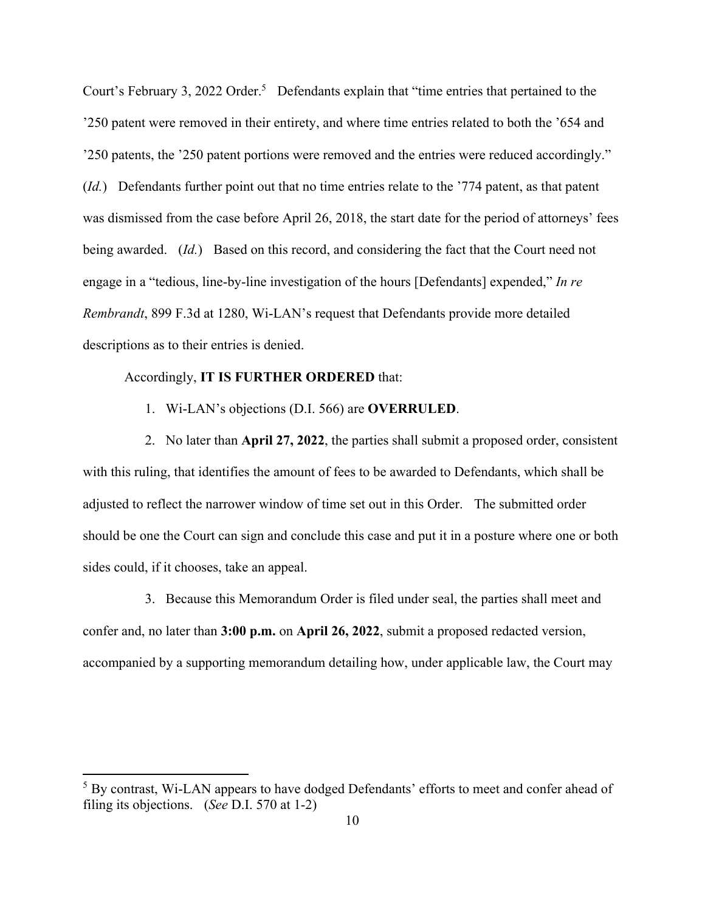Court's February 3, 2022 Order.<sup>5</sup> Defendants explain that "time entries that pertained to the '250 patent were removed in their entirety, and where time entries related to both the '654 and '250 patents, the '250 patent portions were removed and the entries were reduced accordingly." (*Id.*) Defendants further point out that no time entries relate to the '774 patent, as that patent was dismissed from the case before April 26, 2018, the start date for the period of attorneys' fees being awarded. (*Id.*) Based on this record, and considering the fact that the Court need not engage in a "tedious, line-by-line investigation of the hours [Defendants] expended," *In re Rembrandt*, 899 F.3d at 1280, Wi-LAN's request that Defendants provide more detailed descriptions as to their entries is denied.

## Accordingly, **IT IS FURTHER ORDERED** that:

1. Wi-LAN's objections (D.I. 566) are **OVERRULED**.

2. No later than **April 27, 2022**, the parties shall submit a proposed order, consistent with this ruling, that identifies the amount of fees to be awarded to Defendants, which shall be adjusted to reflect the narrower window of time set out in this Order. The submitted order should be one the Court can sign and conclude this case and put it in a posture where one or both sides could, if it chooses, take an appeal.

3. Because this Memorandum Order is filed under seal, the parties shall meet and confer and, no later than **3:00 p.m.** on **April 26, 2022**, submit a proposed redacted version, accompanied by a supporting memorandum detailing how, under applicable law, the Court may

<sup>&</sup>lt;sup>5</sup> By contrast, Wi-LAN appears to have dodged Defendants' efforts to meet and confer ahead of filing its objections. (*See* D.I. 570 at 1-2)